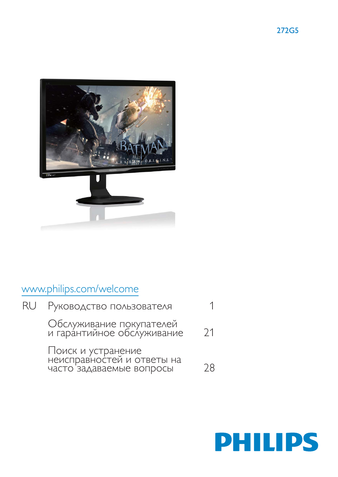

# www.philips.com/welcome

| RU I | Руководство пользователя                                                     |    |
|------|------------------------------------------------------------------------------|----|
|      | Обслуживание покупателей<br>и гарантийное обслуживание                       | 21 |
|      | Поиск и устранение<br>неисправностей и ответы на<br>часто задаваемые вопросы | 28 |

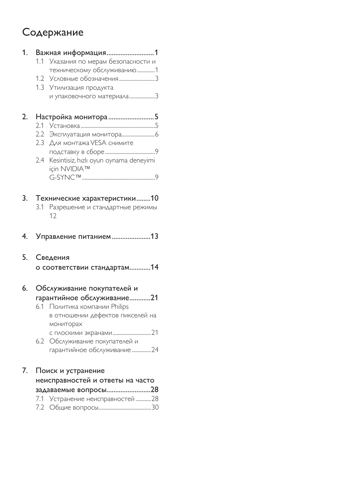# Содержание

| 1. |     |                                                               |
|----|-----|---------------------------------------------------------------|
|    |     | 1.1 Указания по мерам безопасности и                          |
|    |     | техническому обслуживанию1                                    |
|    |     |                                                               |
|    |     | 1.3 Утилизация продукта                                       |
|    |     | и упаковочного материала3                                     |
| 2. |     | Настройка монитора5                                           |
|    | 2.1 |                                                               |
|    | 2.2 |                                                               |
|    | 2.3 | Для монтажа VESA снимите                                      |
|    |     |                                                               |
|    |     | 2.4 Kesintisiz, hızlı oyun oynama deneyimi                    |
|    |     | için NVIDIA™                                                  |
|    |     |                                                               |
| 3. |     | Технические характеристики10                                  |
|    |     | 3.1 Разрешение и стандартные режимы                           |
|    |     | 12                                                            |
| 4. |     | Управление питанием13                                         |
|    |     |                                                               |
|    |     |                                                               |
| 5. |     | Сведения                                                      |
|    |     | о соответствии стандартам14                                   |
| 6. |     |                                                               |
|    |     | Обслуживание покупателей и                                    |
|    | 6.1 | гарантийное обслуживание21                                    |
|    |     | Политика компании Philips<br>в отношении дефектов пикселей на |
|    |     | мониторах                                                     |
|    |     |                                                               |
|    |     | 6.2 Обслуживание покупателей и                                |
|    |     | гарантийное обслуживание 24                                   |
| 7. |     | Поиск и устранение                                            |
|    |     | неисправностей и ответы на часто                              |
|    |     |                                                               |
|    |     | задаваемые вопросы28<br>7.1 Устранение неисправностей 28      |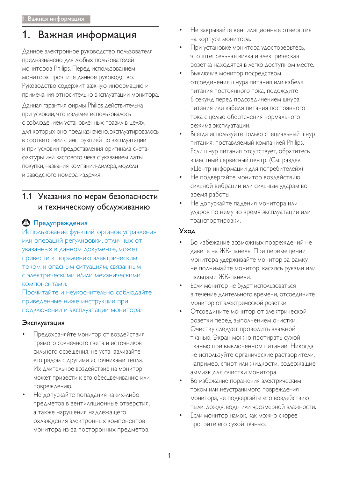# 1. Важная информация

Данное электронное руководство пользователя предназначено для любых пользователей мониторов Philips. Перед использованием монитора прочтите данное руководство. Руководство содержит важную информацию и примечания относительно эксплуатации монитора. Данная гарантия фирмы Philips действительна ПРИ УСЛОВИИ, ЧТО ИЗДЕЛИЕ ИСПОЛЬЗОВАЛОСЬ с соблюдением установленных правил в целях, ДЛЯ КОТОРЫХ ОНО ПРЕДНАЗНАЧЕНО, ЭКСПЛУАТИРОВАЛОСЬ в соответствии с инструкцией по эксплуатации и при условии предоставления оригинала счетафактуры или кассового чека с указанием даты покупки, названия компании-дилера, модели и заводского номера изделия.

# 1.1 Указания по мерам безопасности и техническому обслуживанию

# О Предупреждения

Использование функций, органов управления или операций регулировки, отличных от указанных в данном документе, может ПРИВЕСТИ К ПОРАЖЕНИЮ ЭЛЕКТРИЧЕСКИМ током и опасным ситуациям, связанным с электрическими и/или механическими КОМПОНЕНТАМИ.

Прочитайте и неукоснительно соблюдайте ПРИВЕДЕННЫЕ НИЖЕ ИНСТРУКЦИИ ПРИ подключении и эксплуатации монитора:

# Эксплуатация

- Предохраняйте монитор от воздействия Прямого солнечного света и источников сильного освещения, не устанавливайте его рядом с другими источниками тепла. Их длительное воздействие на монитор может привести к его обесцвечиванию или повреждению.
- Не допускайте попадания каких-либо предметов в вентиляционные отверстия, а также нарушения надлежащего ОХЛАЖДЕНИЯ ЭЛЕКТРОННЫХ КОМПОНЕНТОВ монитора из-за посторонних предметов.
- Не закрывайте вентиляционные отверстия на корпусе монитора.
- При установке монитора удостоверьтесь, что штепсельная вилка и электрическая розетка находятся в легко доступном месте.
- Выключив монитор посредством отсоединения шнура питания или кабеля питания постоянного тока, подождите 6 секунд перед подсоединением шнура питания или кабеля питания постоянного тока с целью обеспечения нормального режима эксплуатации.
- Всегда используйте только специальный шнур питания, поставляемый компанией Philips. Если шнур питания отсутствует, обратитесь в местный сервисный центр. (См. раздел «Центр информации для потребителей»)
- Не подвергайте монитор воздействию сильной вибрации или сильным ударам во время работы.
- Не допускайте падения монитора или ударов по нему во время эксплуатации или транспортировки.

## **Y**xoa

- Во избежание возможных повреждений не давите на ЖК-панель. При перемещении монитора удерживайте монитор за рамку, не поднимайте монитор, касаясь руками или пальцами ЖК-панели.
- Если монитор не будет использоваться В Течение длительного времени, отсоедините монитор от электрической розетки.
- Отсоедините монитор от электрической розетки перед выполнением очистки. Очистку следует проводить влажной тканью. Экран можно протирать сухой тканью при выключенном питании. Никогда не используйте органические растворители, например, спирт или жидкости, содержащие аммиак для очистки монитора.
- Во избежание поражения электрическим током или неустранимого повреждения монитора, не подвергайте его воздействию ПЫЛИ, ДОЖДЯ, ВОДЫ ИЛИ ЧРЕЗМЕРНОЙ ВЛАЖНОСТИ.
- Если монитор намок, как можно скорее протрите его сухой тканью.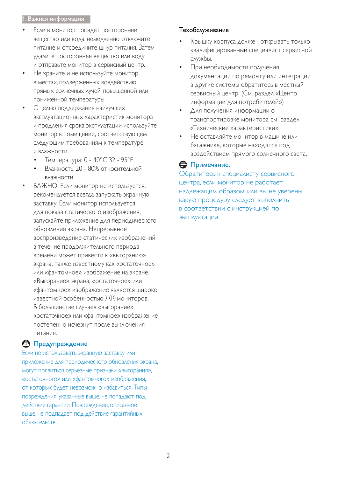#### 1. Важная информация

- Если в монитор попадет постороннее вещество или вода, немедленно отключите питание и отсоедините шнур питания. Затем УДАЛИТЕ ПОСТОРОННЕЕ ВЕЩЕСТВО ИЛИ ВОДУ и отправьте монитор в сервисный центр.
- Не храните и не используйте монитор в местах, подверженных воздействию Прямых солнечных лучей, повышенной или пониженной температуры.
- С целью поддержания наилучших эксплуатационных характеристик монитора и продления срока эксплуатации используйте монитор в помещении, соответствующем следующим требованиям к температуре и влажности.
	- Температура: 0 40°С 32 95°Е
	- Влажность: 20 80% относительной влажности
- ВАЖНО! Если монитор не используется, рекомендуется всегда запускать экранную заставку. Если монитор используется для показа статического изображения, запускайте приложение для периодического обновления экрана. Непрерывное воспроизведение статических изображений в течение продолжительного периода времени может привести к «выгоранию» экрана, также известному как «остаточное» или «фантомное» изображение на экране. «Выгорание» экрана, «остаточное» или «Фантомное» изображение является широко известной особенностью ЖК-мониторов. В большинстве случаев «выгорание», «остаточное» или «фантомное» изображение ПОСТЕПЕННО ИСЧЕЗНУТ ПОСЛЕ ВЫКЛЮЧЕНИЯ питания.

## **<sup>1</sup>** Предупреждение

Если не использовать экранную заставку или приложение для периодического обновления экрана, МОГУТ ПОЯВИТЬСЯ СЕРЬЕЗНЫЕ ПРИЗНАКИ «ВЫГОРАНИЯ», «остаточного» или «фантомного» изображения, от которых будет невозможно избавиться. Типы ПОВРЕЖДЕНИЯ, УКАЗАННЫЕ ВЫШЕ, НЕ ПОПАДАЮТ ПОД действие гарантии. Повреждение, описанное выше, не подпадает под действие гарантийных обязательств.

#### Техобслуживание

- Крышку корпуса должен открывать только квалифицированный специалист сервисной службы.
- При необходимости получения документации по ремонту или интеграции в другие системы обратитесь в местный сервисный центр. (См. раздел «Центр информации для потребителей»)
- Для получения информации о транспортировке монитора см. раздел «Технические характеристики».
- Не оставляйте монитор в машине или багажнике, которые находятся под воздействием прямого солнечного света.

## $\ominus$  Примечание.

Обратитесь к специалисту сервисного центра, если монитор не работает надлежащим образом, или вы не уверены, какую процедуру следует выполнить в соответствии с инструкцией по эксплуатации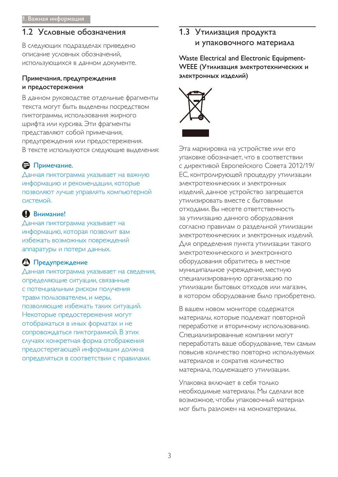# 1.2 Условные обозначения

В следующих подразделах приведено описание условных обозначений, использующихся в данном документе.

#### Примечания, предупреждения и предостережения

В данном руководстве отдельные фрагменты текста могут быть выделены посредством ПИКТОГРАММЫ, ИСПОЛЬЗОВАНИЯ ЖИРНОГО шрифта или курсива. Эти фрагменты представляют собой примечания, предупреждения или предостережения. В тексте используются следующие выделения:

# В Примечание.

Данная пиктограмма указывает на важную информацию и рекомендации, которые позволяют лучше управлять компьютерной системой.

# **O** Внимание!

Данная пиктограмма указывает на информацию, которая позволит вам избежать возможных повреждений аппаратуры и потери данных.

# **<sup>1</sup>** Предупреждение

Данная пиктограмма указывает на сведения, определяющие ситуации, связанные с потенциальным риском получения травм пользователем, и меры, позволяющие избежать таких ситуаций. Некоторые предостережения могут отображаться в иных форматах и не сопровождаться пиктограммой. В этих случаях конкретная форма отображения предостерегающей информации должна определяться в соответствии с правилами.

# 1.3 Утилизация продукта и упаковочного материала

Waste Electrical and Electronic Equipment- WEEE (Утилизация электротехнических и электронных изделий)



Эта маркировка на устройстве или его упаковке обозначает, что в соответствии с директивой Европейского Совета 2012/19/ ЕС, контролирующей процедуру утилизации ЭЛЕКТРОТЕХНИЧЕСКИХ И ЭЛЕКТРОННЫХ изделий, данное устройство запрещается утилизировать вместе с бытовыми отходами. Вы несете ответственность за утилизацию данного оборудования СОГЛАСНО ПРАВИЛАМ О РАЗДЕЛЬНОЙ УТИЛИЗАЦИИ ЭЛЕКТРОТЕХНИЧЕСКИХ И ЭЛЕКТРОННЫХ ИЗДЕЛИЙ. Для определения пункта утилизации такого ЭЛЕКТРОТЕХНИЧЕСКОГО И ЭЛЕКТРОННОГО оборудования обратитесь в местное муниципальное учреждение, местную специализированную организацию по утилизации бытовых отходов или магазин, в котором оборудование было приобретено.

В вашем новом мониторе содержатся материалы, которые подлежат повторной переработке и вторичному использованию. Специализированные компании могут переработать ваше оборудование, тем самым ПОВЫСИВ КОЛИЧЕСТВО ПОВТОРНО ИСПОЛЬЗУЕМЫХ материалов и сократив количество материала, подлежащего утилизации.

V паковка включает в себя только необходимые материалы. Мы сделали все возможное, чтобы упаковочный материал мог быть разложен на мономатериалы.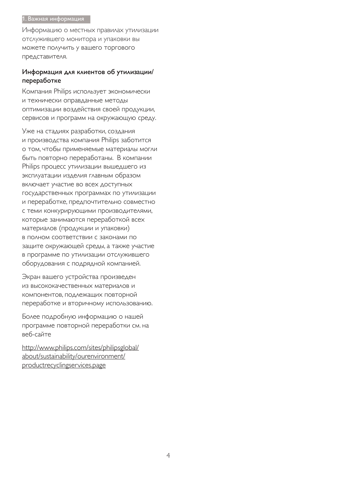#### 1. Важная информация

Информацию о местных правилах утилизации отслужившего монитора и упаковки вы можете получить у вашего торгового представителя.

### Информация для клиентов об утилизации/ переработке

Компания Philips использует экономически и технически оправданные методы ОПТИМИЗАЦИИ ВОЗДЕЙСТВИЯ СВОЕЙ ПРОДУКЦИИ, сервисов и программ на окружающую среду.

Уже на стадиях разработки, создания и производства компания Philips заботится О ТОМ, ЧТОбЫ ПРИМЕНЯЕМЫЕ МАТЕРИАЛЫ МОГЛИ быть повторно переработаны. В компании Philips процесс утилизации вышедшего из эксплуатации изделия главным образом ВКЛЮЧАЕТ УЧАСТИЕ ВО ВСЕХ ДОСТУПНЫХ государственных программах по утилизации и переработке, предпочтительно совместно С ТЕМИ КОНКУРИРУЮЩИМИ ПРОИЗВОДИТЕЛЯМИ, которые занимаются переработкой всех материалов (продукции и упаковки) В ПОЛНОМ СООТВЕТСТВИИ С ЗАКОНАМИ ПО защите окружающей среды, а также участие в программе по утилизации отслужившего оборудования с подрядной компанией.

Экран вашего устройства произведен из высококачественных материалов и КОМПОНЕНТОВ, ПОДЛЕЖАЩИХ ПОВТОРНОЙ переработке и вторичному использованию.

Более подробную информацию о нашей программе повторной переработки см. на веб-сайте

http://www.philips.com/sites/philipsglobal/ about/sustainability/ourenvironment/ productrecyclingservices.page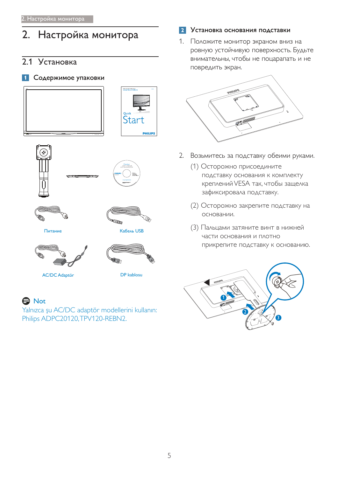# 2. Настройка монитора

# 2.1 Установка

### 1 Содержимое упаковки











Питание



Кабель USB





**A** Not

Yalnızca şu AC/DC adaptör modellerini kullanın: Philips ADPC20120, TPV120-REBN2.

### 2 Установка основания подставки

1. Положите монитор экраном вниз на ровную устойчивую поверхность. Будьте внимательны, чтобы не поцарапать и не повредить экран.



- 2. Возьмитесь за подставку обеими руками.
	- (1) Осторожно присоедините подставку основания к комплекту креплений VESA так, чтобы защелка зафиксировала подставку.
	- (2) Осторожно закрепите подставку на основании.
	- (3) Пальцами затяните винт в нижней части основания и плотно прикрепите подставку к основанию.

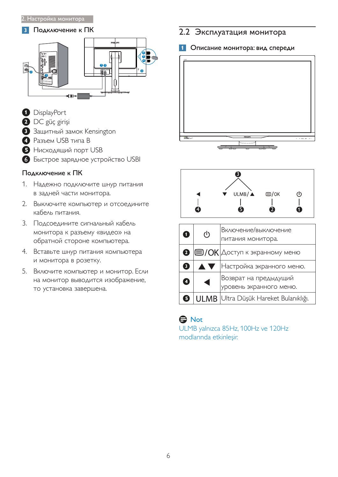#### **3** Подключение к ПК



- **D** DisplayPort
- **2** DC güç girişi
- **3** Защитный замок Kensington
- **•** Разъем USB типа В
- **В** Нисходящий порт USB
- 6 Быстрое зарядное устройство USBI

## Подключение к ПК

- 1. Надежно подключите шнур питания в задней части монитора.
- 2. Выключите компьютер и отсоедините кабель питания.
- 3. Подсоедините сигнальный кабель монитора к разъему «видео» на обратной стороне компьютера.
- 4. Вставьте шнур питания компьютера и монитора в розетку.
- 5. Включите компьютер и монитор. Если на монитор выводится изображение, то установка завершена.

# 2.2 Эксплуатация монитора

### 1 Описание монитора: вид спереди





| O         | $\mathcal{L}$ | Включение/выключение<br>питания монитора.            |
|-----------|---------------|------------------------------------------------------|
| 2         |               | $ \mathbf{\Xi}/\mathrm{OK} $ Доступ к экранному меню |
| 3         | <b>AV</b>     | Настройка экранного меню.                            |
| 4         |               | Возврат на предыдущий<br>уровень экранного меню.     |
| $\vert$ 5 |               | ULMB   Ultra Düşük Hareket Bulanıklığı.              |

# **O** Not

ULMB yalnızca 85Hz, 100Hz ve 120Hz modlarında etkinleşir.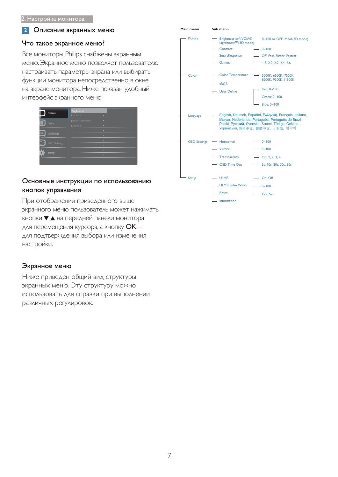#### **2** Описание экранных меню

#### Что такое экранное меню?

Все мониторы Philips снабжены экранным меню. Экранное меню позволяет пользователю настраивать параметры экрана или выбирать функции монитора непосредственно в окне на экране монитора. Ниже показан удобный интерфейс экранного меню:

| ۰<br>SmartResponse<br>Color<br>٠<br>Gamma<br>ö.<br><br>Language<br>ò.<br>٠<br><b>OSD Settings</b><br>٠<br>$\bullet$<br>Setup<br>$\bullet$ | Picture | <b>Brightness</b><br>Contrast<br>۰ |
|-------------------------------------------------------------------------------------------------------------------------------------------|---------|------------------------------------|
|                                                                                                                                           |         |                                    |
|                                                                                                                                           |         |                                    |
|                                                                                                                                           |         |                                    |
|                                                                                                                                           |         |                                    |

#### Основные инструкции по использованию кнопок управления

При отображении приведенного выше ЭКРАННОГО МЕНЮ ПОЛЬЗОВАТЕЛЬ МОЖЕТ НАЖИМАТЬ кнопки ▼ ▲ на передней панели монитора для перемещения курсора, а кнопку ОК -ДЛЯ ПОДТВЕРЖДЕНИЯ ВЫбОРА ИЛИ ИЗМЕНЕНИЯ настройки.

#### Экранное меню

Ниже приведен общий вид структуры экранных меню. Эту структуру можно ИСПОЛЬЗОВАТЬ ДЛЯ СПРАВКИ ПРИ ВЫПОЛНЕНИИ различных регулировок.

| Main menu           | Sub menu                                           |                                                                                                                                                                                                            |
|---------------------|----------------------------------------------------|------------------------------------------------------------------------------------------------------------------------------------------------------------------------------------------------------------|
| <b>Picture</b>      | <b>Brightness orNVDIA®</b><br>Lightboost™(3D mode) | 0~100 or OFF~MAX(3D mode)                                                                                                                                                                                  |
|                     | Contrast                                           | $- 0 - 100$                                                                                                                                                                                                |
|                     | - SmartResponse                                    | - Off, Fast, Faster, Fastest                                                                                                                                                                               |
|                     | - Gamma                                            | $- 1.8, 2.0, 2.2, 2.4, 2.6$                                                                                                                                                                                |
| Color               | <b>Color Temperature</b><br>- sRGB                 | - 5000K, 6500K, 7500K,<br>8200K, 9300K, 11500K<br>Red: 0~100                                                                                                                                               |
|                     | <b>User Define</b>                                 |                                                                                                                                                                                                            |
|                     |                                                    | Green: 0~100                                                                                                                                                                                               |
|                     |                                                    | Blue: 0~100                                                                                                                                                                                                |
| Language            |                                                    | - English, Deutsch, Español, Ελληνική, Français, Italiano,<br>Maryar, Nederlands, Português, Português do Brazil,<br>Polski, Русский, Svenska, Suomi, Türkçe, Čeština,<br>Українська, 简体中文, 繁體中文, 日本語, 한국어 |
| <b>OSD Settings</b> | Horizontal                                         | $-0 - 100$                                                                                                                                                                                                 |
|                     | Vertical                                           | $- 0 - 100$                                                                                                                                                                                                |
|                     | <b>Transparency</b>                                | $-$ Off, 1, 2, 3, 4                                                                                                                                                                                        |
|                     | <b>OSD Time Out</b>                                | - 5s, 10s, 20s, 30s, 60s                                                                                                                                                                                   |
|                     |                                                    |                                                                                                                                                                                                            |
| Setup               | - ULMB                                             | $-$ On, Off                                                                                                                                                                                                |
|                     | <b>ULMB Pulse Width</b>                            | $-0 - 100$                                                                                                                                                                                                 |
|                     | - Reset                                            | - Yes, No                                                                                                                                                                                                  |
|                     | Information                                        |                                                                                                                                                                                                            |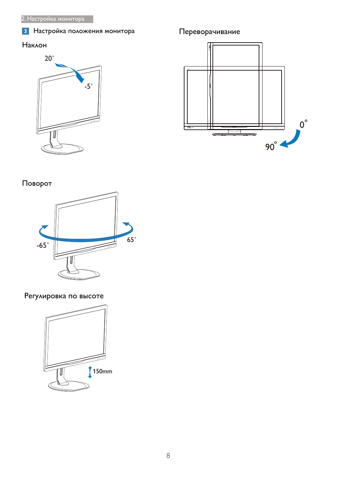# 3 Настройка положения монитора

# Наклон



# Переворачивание



# Поворот



Регулировка по высоте

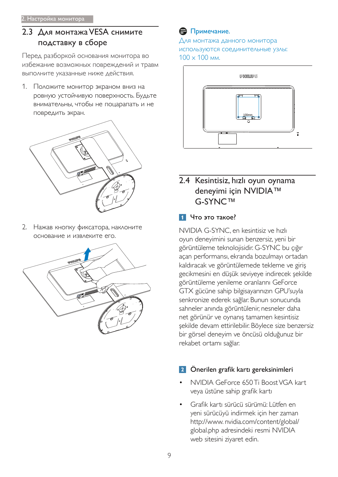# 2.3 Для монтажа VESA снимите подставку в сборе

Перед разборкой основания монитора во избежание возможных повреждений и травм выполните указанные ниже действия.

1. Положите монитор экраном вниз на ровную устойчивую поверхность. Будьте внимательны, чтобы не поцарапать и не повредить экран.



2. Нажав кнопку фиксатора, наклоните основание и извлеките его.



# **В** Примечание.

Для монтажа данного монитора ИСПОЛЬЗУЮТСЯ СОЕДИНИТЕЛЬНЫЕ УЗЛЫ:  $100 \times 100$  мм.



# 2.4 Kesintisiz, hızlı oyun oynama deneyimi için NVIDIA™ G-SYNC™

# 1 Что это такое?

NVIDIA G-SYNC, en kesintisiz ve hızlı oyun deneyimini sunan benzersiz, yeni bir görüntüleme teknolojisidir. G-SYNC bu çığır açan performansı, ekranda bozulmayı ortadan kaldıracak ve görüntülemede tekleme ve giriş gecikmesini en düşük seviyeye indirecek şekilde görüntüleme yenileme oranlarını GeForce GTX gücüne sahip bilgisayarınızın GPU'suyla senkronize ederek sağlar. Bunun sonucunda sahneler anında görüntülenir, nesneler daha net görünür ve oynanış tamamen kesintisiz şekilde devam ettirilebilir. Böylece size benzersiz bir görsel deneyim ve öncüsü olduğunuz bir rekabet ortamı sağlar.

# 2 Önerilen grafik kartı gereksinimleri

- NVIDIA GeForce 650 Ti Boost VGA kart veya üstüne sahip grafik kartı
- Grafik kartı sürücü sürümü: Lütfen en yeni sürücüyü indirmek için her zaman http://www.nvidia.com/content/global/ global.php adresindeki resmi NVIDIA web sitesini ziyaret edin.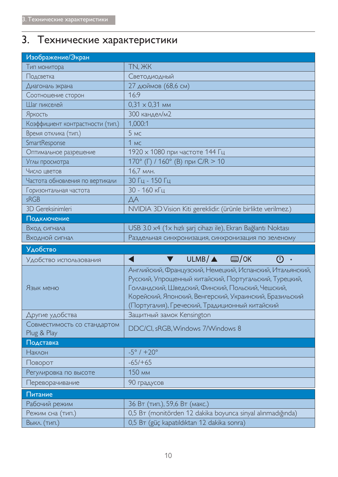# 3. Технические характеристики

| Изображение/Экран                          |                                                                                                                                                                                                                                                                                            |  |  |
|--------------------------------------------|--------------------------------------------------------------------------------------------------------------------------------------------------------------------------------------------------------------------------------------------------------------------------------------------|--|--|
| Тип монитора                               | TN, XK                                                                                                                                                                                                                                                                                     |  |  |
| Подсветка                                  | Светодиодный                                                                                                                                                                                                                                                                               |  |  |
| Диагональ экрана                           | 27 дюймов (68,6 см)                                                                                                                                                                                                                                                                        |  |  |
| Соотношение сторон                         | 16:9                                                                                                                                                                                                                                                                                       |  |  |
| Шаг пикселей                               | $0,31 \times 0,31$ MM                                                                                                                                                                                                                                                                      |  |  |
| Яркость                                    | 300 кандел/м2                                                                                                                                                                                                                                                                              |  |  |
| Коэффициент контрастности (тип.)           | 1,000:1                                                                                                                                                                                                                                                                                    |  |  |
| Время отклика (тип.)                       | 5MC                                                                                                                                                                                                                                                                                        |  |  |
| SmartResponse                              | $1$ MC                                                                                                                                                                                                                                                                                     |  |  |
| Оптимальное разрешение                     | 1920 х 1080 при частоте 144 Гц                                                                                                                                                                                                                                                             |  |  |
| Углы просмотра                             | 170° (Г) / 160° (В) при С/R > 10                                                                                                                                                                                                                                                           |  |  |
| Число цветов                               | 16,7 млн.                                                                                                                                                                                                                                                                                  |  |  |
| Частота обновления по вертикали            | 30 Гц - 150 Гц                                                                                                                                                                                                                                                                             |  |  |
| Горизонтальная частота                     | 30 - 160 кГц                                                                                                                                                                                                                                                                               |  |  |
| sRGB                                       | ДA                                                                                                                                                                                                                                                                                         |  |  |
| <b>3D Gereksinimleri</b>                   | NVIDIA 3D Vision Kiti gereklidir. (ürünle birlikte verilmez.)                                                                                                                                                                                                                              |  |  |
| Подключение                                |                                                                                                                                                                                                                                                                                            |  |  |
| Вход сигнала                               | USB 3.0 x4 (1x hızlı şarj cihazı ile), Ekran Bağlantı Noktası                                                                                                                                                                                                                              |  |  |
|                                            |                                                                                                                                                                                                                                                                                            |  |  |
| Входной сигнал                             | Раздельная синхронизация, синхронизация по зеленому                                                                                                                                                                                                                                        |  |  |
| <b>Удобство</b>                            |                                                                                                                                                                                                                                                                                            |  |  |
| Удобство использования                     | $ULMB/\triangle$ $\Box$ /OK<br>(I)<br>$\circ$                                                                                                                                                                                                                                              |  |  |
| Язык меню                                  | Английский, Французский, Немецкий, Испанский, Итальянский,<br>Русский, Упрощенный китайский, Португальский, Турецкий,<br>Голландский, Шведский, Финский, Польский, Чешский,<br>Корейский, Японский, Венгерский, Украинский, Бразильский<br>(Португалия), Греческий, Традиционный китайский |  |  |
| Другие удобства                            | Защитный замок Kensington                                                                                                                                                                                                                                                                  |  |  |
| Совместимость со стандартом<br>Plug & Play | DDC/CI, sRGB, Windows 7/Windows 8                                                                                                                                                                                                                                                          |  |  |
| Подставка                                  |                                                                                                                                                                                                                                                                                            |  |  |
| Наклон                                     | $-5^{\circ}$ / $+20^{\circ}$                                                                                                                                                                                                                                                               |  |  |
| Поворот                                    | $-65/+65$                                                                                                                                                                                                                                                                                  |  |  |
| Регулировка по высоте                      | 150 мм                                                                                                                                                                                                                                                                                     |  |  |
| Переворачивание                            | 90 градусов                                                                                                                                                                                                                                                                                |  |  |
| Питание                                    |                                                                                                                                                                                                                                                                                            |  |  |
| Рабочий режим                              | 36 Вт (тип.), 59,6 Вт (макс.)                                                                                                                                                                                                                                                              |  |  |
| Режим сна (тип.)                           | 0,5 BT (monitörden 12 dakika boyunca sinyal alınmadığında)                                                                                                                                                                                                                                 |  |  |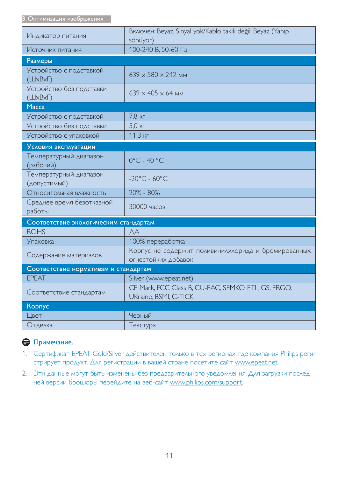| Индикатор питания                                 | Включен: Beyaz, Sinyal yok/Kablo takılı değil: Beyaz (Yanıp<br>sönüyor)      |
|---------------------------------------------------|------------------------------------------------------------------------------|
| Источник питания                                  | 100-240 В, 50-60 Гц                                                          |
| Размеры                                           |                                                                              |
| Устройство с подставкой<br>$(\Box xBx\Box)$       | $639 \times 580 \times 242$ MM                                               |
| Устройство без подставки<br>$(\Box x B x \Gamma)$ | $639 \times 405 \times 64$ MM                                                |
| <b>Macca</b>                                      |                                                                              |
| Устройство с подставкой                           | $7,8$ KF                                                                     |
| Устройство без подставки                          | 5,0 KF                                                                       |
| Устройство с упаковкой                            | 11,3 кг                                                                      |
| Условия эксплуатации                              |                                                                              |
| Температурный диапазон<br>(рабочий)               | $0^{\circ}$ C - 40 $^{\circ}$ C                                              |
| Температурный диапазон<br>(допустимый)            | $-20^{\circ}$ C - 60 $^{\circ}$ C                                            |
| Относительная влажность                           | 20% - 80%                                                                    |
| Среднее время безотказной<br>работы               | 30000 часов                                                                  |
| Соответствие экологическим стандартам             |                                                                              |
| <b>ROHS</b>                                       | ДA                                                                           |
| <b>Упаковка</b>                                   | 100% переработка                                                             |
| Содержание материалов                             | Корпус не содержит поливинилхлорида и бромированных<br>огнестойких добавок   |
| Соответствие нормативам и стандартам              |                                                                              |
| <b>EPEAT</b>                                      | Silver (www.epeat.net)                                                       |
| Соответствие стандартам                           | CE Mark, FCC Class B, CU-EAC, SEMKO, ETL, GS, ERGO,<br>UKraine, BSMI, C-TICK |
| Корпус                                            |                                                                              |
| Цвет                                              | Черный                                                                       |
| Отделка                                           | Текстура                                                                     |

# ⊜ Примечание.

- 1. Сертификат EPEAT Gold/Silver действителен только в тех регионах, где компания Philips регистрирует продукт. Для регистрации в вашей стране посетите сайт www.epeat.net.
- 2. Эти данные могут быть изменены без предварительного уведомления. Для загрузки последней версии брошюры перейдите на веб-сайт www.philips.com/support.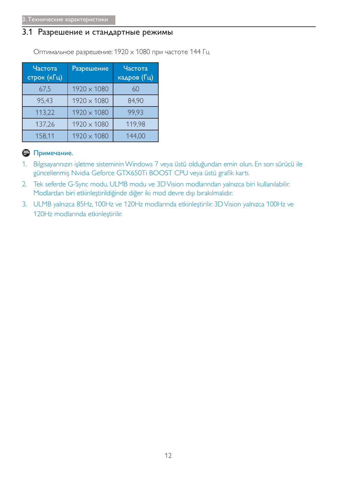# 3.1 Разрешение и стандартные режимы

Оптимальное разрешение: 1920 х 1080 при частоте 144 Гц

| Частота<br>строк (кГц) | Разрешение  | Частота<br>кадров (Гц) |
|------------------------|-------------|------------------------|
| 67,5                   | 1920 × 1080 | 60                     |
| 95,43                  | 1920 × 1080 | 84,90                  |
| 113,22                 | 1920 × 1080 | 99.93                  |
| 137,26                 | 1920 × 1080 | 119,98                 |
| 158,11                 | 1920 × 1080 | 144,00                 |

# • Примечание.

- 1. Bilgisayarınızın işletme sisteminin Windows 7 veya üstü olduğundan emin olun. En son sürücü ile güncellenmiş Nvidia Geforce GTX650Ti BOOST CPU veya üstü grafik kartı.
- 2. Tek seferde G-Sync modu, ULMB modu ve 3D Vision modlarından yalnızca biri kullanılabilir. Modlardan biri etkinleştirildiğinde diğer iki mod devre dışı bırakılmalıdır.
- 3. ULMB yalnızca 85Hz, 100Hz ve 120Hz modlarında etkinleştirilir. 3D Vision yalnızca 100Hz ve 120Hz modlarında etkinleştirilir.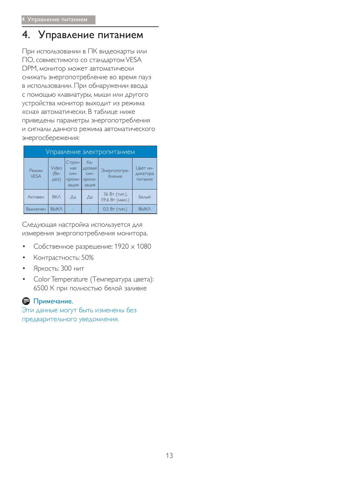# 4. Управление питанием

При использовании в ПК видеокарты или ПО, совместимого со стандартом VESA DPM, монитор может автоматически снижать энергопотребление во время пауз в использовании. При обнаружении ввода с помощью клавиатуры, мыши или другого устройства монитор выходит из режима «сна» автоматически. В таблице ниже приведены параметры энергопотребления и сигналы данного режима автоматического энергосбережения:

|                      |                          |                                                                |                                                              | Управление электропитанием       |                                 |
|----------------------|--------------------------|----------------------------------------------------------------|--------------------------------------------------------------|----------------------------------|---------------------------------|
| Режим<br><b>VESA</b> | Video<br>$(Bu -$<br>AEO) | Строч-<br>ная<br>$C$ <sub>MH</sub> -<br><b>XDOHИ-</b><br>зация | Ka-<br>дровая<br>C <sub>MH</sub> -<br><b>ХDOHИ-</b><br>зация | Энергопотре-<br>бление           | Цвет ин-<br>дикатора<br>питания |
| Активен              | <b>BKA</b>               | Дa                                                             | Дa                                                           | 36 Вт (тип.),<br>59,6 Вт (макс.) | Белый                           |
| Выключен             | <b>ВЫКЛ</b>              |                                                                |                                                              | $0.5 BT$ ( $TMT$ )               | <b>ВЫКЛ</b>                     |

Следующая настройка используется для измерения энергопотребления монитора.

- Собственное разрешение: 1920 х 1080
- Контрастность: 50%
- Яркость: 300 нит
- Color Temperature (Температура цвета): 6500 К при полностью белой заливке

# В Примечание.

Эти данные могут быть изменены без предварительного уведомления.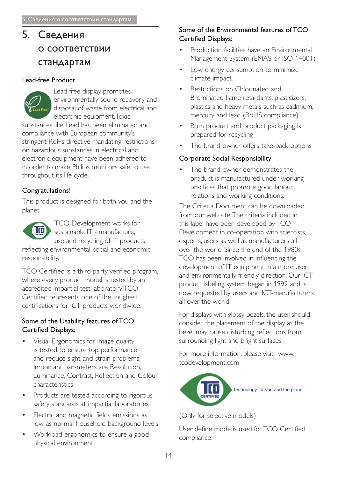# $5<sub>1</sub>$ Сведения О СООТВЕТСТВИИ стандартам

# Lead-free Product



substances like Lead has been eliminated and compliance with European community's stringent RoHs directive mandating restrictions on hazardous substances in electrical and electronic equipment have been adhered to in order to make Philips monitors safe to use throughout its life cycle.

# Congratulations!

This product is designed for both you and the planet!



**TCO Development works for** sustainable IT - manufacture, use and recycling of IT products reflecting environmental, social and economic

responsibility.

TCO Certified is a third party verified program, where every product model is tested by an accredited impartial test laboratory.TCO Certified represents one of the toughest certifications for ICT products worldwide.

## Some of the Usability features of TCO **Certified Displays:**

- Visual Ergonomics for image quality is tested to ensure top performance and reduce sight and strain problems. Important parameters are Resolution, Luminance, Contrast, Reflection and Colour characteristics
- Products are tested according to rigorous  $\bullet$ safety standards at impartial laboratories
- Electric and magnetic fields emissions as low as normal household background levels
- Workload ergonomics to ensure a good physical environment

# Some of the Environmental features of TCO **Certified Displays:**

- Production facilities have an Environmental Management System (EMAS or ISO 14001)
- Low energy consumption to minimize climate impact
- Restrictions on Chlorinated and Brominated flame retardants, plasticizers, plastics and heavy metals such as cadmium, mercury and lead (RoHS compliance)
- Both product and product packaging is prepared for recycling
- The brand owner offers take-back options

# **Corporate Social Responsibility**

The brand owner demonstrates the product is manufactured under working practices that promote good labour relations and working conditions.

The Criteria Document can be downloaded from our web site The criteria included in this label have been developed by TCO Development in co-operation with scientists, experts, users as well as manufacturers all over the world. Since the end of the 1980s TCO has been involved in influencing the development of IT equipment in a more user and environmentally friendly direction. Our ICT product labeling system began in 1992 and is now requested by users and ICT-manufacturers all over the world

For displays with glossy bezels, the user should consider the placement of the display as the bezel may cause disturbing reflections from surrounding light and bright surfaces.

For more information, please visit: www. tcodevelopment.com



(Only for selective models)

User define mode is used for TCO Certified compliance.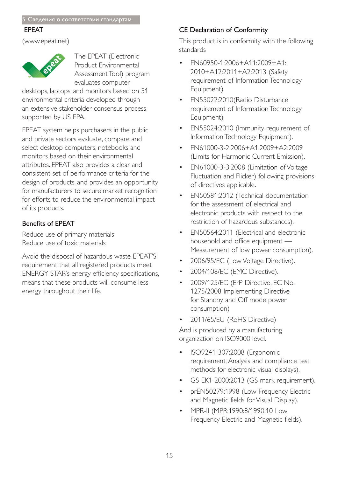### **EPEAT**

(www.epeat.net)



The EPEAT (Electronic Product Environmental Assessment Tool) program evaluates computer

desktops, laptops, and monitors based on 51 environmental criteria developed through an extensive stakeholder consensus process supported by US EPA.

EPEAT system helps purchasers in the public and private sectors evaluate, compare and select desktop computers, notebooks and monitors based on their environmental attributes. EPEAT also provides a clear and consistent set of performance criteria for the design of products, and provides an opportunity for manufacturers to secure market recognition for efforts to reduce the environmental impact of its products.

# **Benefits of EPEAT**

Reduce use of primary materials Reduce use of toxic materials

Avoid the disposal of hazardous waste EPEAT'S requirement that all registered products meet ENERGY STAR's energy efficiency specifications, means that these products will consume less energy throughout their life.

# **CE Declaration of Conformity**

This product is in conformity with the following standards

- EN60950-1:2006+A11:2009+A1: 2010+A12:2011+A2:2013 (Safety requirement of Information Technology Equipment).
- EN55022:2010(Radio Disturbance  $\bullet$ requirement of Information Technology Equipment).
- EN55024:2010 (Immunity requirement of Information Technology Equipment).
- EN61000-3-2:2006+A1:2009+A2:2009 (Limits for Harmonic Current Emission).
- EN61000-3-3:2008 (Limitation of Voltage Fluctuation and Flicker) following provisions of directives applicable.
- EN50581:2012 (Technical documentation for the assessment of electrical and electronic products with respect to the restriction of hazardous substances).
- EN50564:2011 (Electrical and electronic household and office equipment -Measurement of low power consumption).
- 2006/95/EC (Low Voltage Directive).
- 2004/108/EC (EMC Directive).  $\bullet$
- 2009/125/EC (ErP Directive, EC No. 1275/2008 Implementing Directive for Standby and Off mode power consumption)
- 2011/65/EU (RoHS Directive)

And is produced by a manufacturing organization on ISO9000 level.

- ISO9241-307:2008 (Ergonomic requirement, Analysis and compliance test methods for electronic visual displays).
- GS EK1-2000:2013 (GS mark requirement).
- prEN50279:1998 (Low Frequency Electric and Magnetic fields for Visual Display).
- MPR-II (MPR:1990:8/1990:10 Low Frequency Electric and Magnetic fields).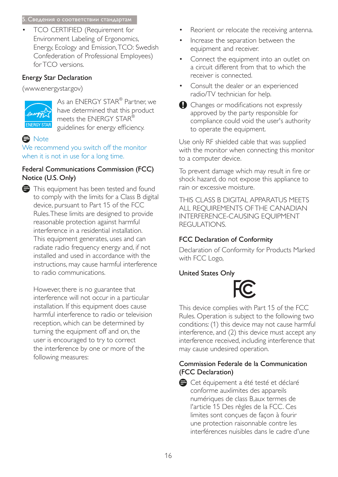#### 5. Сведения о соответствии стандартам

TCO CERTIFIED (Requirement for Environment Labeling of Ergonomics, Energy, Ecology and Emission, TCO: Swedish Confederation of Professional Employees) for TCO versions.

## **Energy Star Declaration**

(www.energystar.gov)



As an ENERGY STAR<sup>®</sup> Partner, we have determined that this product meets the ENERGY STAR® guidelines for energy efficiency.

# **e** Note

We recommend you switch off the monitor when it is not in use for a long time.

# Federal Communications Commission (FCC) Notice (U.S. Only)

This equipment has been tested and found to comply with the limits for a Class B digital device, pursuant to Part 15 of the FCC Rules. These limits are designed to provide reasonable protection against harmful interference in a residential installation. This equipment generates, uses and can radiate radio frequency energy and, if not installed and used in accordance with the instructions, may cause harmful interference to radio communications.

However, there is no guarantee that interference will not occur in a particular installation. If this equipment does cause harmful interference to radio or television reception, which can be determined by turning the equipment off and on, the user is encouraged to try to correct the interference by one or more of the following measures:

- Reorient or relocate the receiving antenna.
- Increase the separation between the equipment and receiver.
- Connect the equipment into an outlet on a circuit different from that to which the receiver is connected.
- Consult the dealer or an experienced radio/TV technician for help.
- Changes or modifications not expressly approved by the party responsible for compliance could void the user's authority to operate the equipment.

Use only RF shielded cable that was supplied with the monitor when connecting this monitor to a computer device.

To prevent damage which may result in fire or shock hazard, do not expose this appliance to rain or excessive moisture.

THIS CLASS B DIGITAL APPARATUS MEETS ALL REQUIREMENTS OF THE CANADIAN **INTERFERENCE-CAUSING EQUIPMENT REGULATIONS.** 

# **FCC Declaration of Conformity**

Declaration of Conformity for Products Marked with FCC Logo,

# **United States Only**



This device complies with Part 15 of the FCC Rules. Operation is subject to the following two conditions: (1) this device may not cause harmful interference, and (2) this device must accept any interference received, including interference that may cause undesired operation.

# Commission Federale de la Communication (FCC Declaration)

Cet équipement a été testé et déclaré conforme auxlimites des appareils numériques de class B, aux termes de l'article 15 Des règles de la FCC. Ces limites sont conçues de façon à fourir une protection raisonnable contre les interférences nuisibles dans le cadre d'une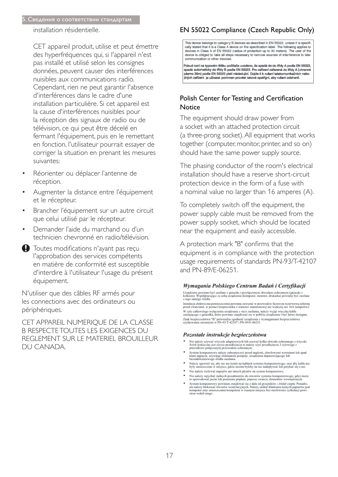#### 5. Сведения о соответствии стандартам

installation résidentielle.

CET appareil produit, utilise et peut émettre des hyperfréquences qui, si l'appareil n'est pas installé et utilisé selon les consignes données, peuvent causer des interférences nuisibles aux communications radio. Cependant, rien ne peut garantir l'absence d'interférences dans le cadre d'une installation particulière. Si cet appareil est la cause d'interférences nuisibles pour la réception des signaux de radio ou de télévision, ce qui peut être décelé en fermant l'équipement, puis en le remettant en fonction, l'utilisateur pourrait essayer de corriger la situation en prenant les mesures suivantes:

- Réorienter ou déplacer l'antenne de réception.
- Augmenter la distance entre l'équipement et le récepteur.
- Brancher l'équipement sur un autre circuit que celui utilisé par le récepteur.
- Demander l'aide du marchand ou d'un technicien chevronné en radio/télévision.
- **D** Toutes modifications n'ayant pas reçu l'approbation des services compétents en matière de conformité est susceptible d'interdire à l'utilisateur l'usage du présent équipement.

N'utiliser que des câbles RF armés pour les connections avec des ordinateurs ou périphériques.

CET APPAREIL NUMERIQUE DE LA CLASSE **B RESPECTE TOUTES LES EXIGENCES DU** REGLEMENT SUR LE MATERIEL BROUILLEUR DU CANADA.

# EN 55022 Compliance (Czech Republic Only)

This device belongs to category B devices as described in EN 55022, unless it is specifically stated that it is a Class A device on the specification label. The following applies to devices in Class A of EN 55022 (radius of protection up to 30 meters). The user of the device is obliged to take all steps necessary to remove sources of interference to tele communication or other devices

Pokud není na tvoovém štítku počítače uvedeno, že spadá do do třídy A podle EN 55022. spadá automaticky do třídy B podle EN 55022. Pro zařízení zařazená do třídy A (chranné jiných zařízení je uživatel povinnen provést taková opatřgní, aby rušení odstranil.

## Polish Center for Testing and Certification **Notice**

The equipment should draw power from a socket with an attached protection circuit (a three-prong socket). All equipment that works together (computer, monitor, printer, and so on) should have the same power supply source.

The phasing conductor of the room's electrical installation should have a reserve short-circuit protection device in the form of a fuse with a nominal value no larger than 16 amperes (A).

To completely switch off the equipment, the power supply cable must be removed from the power supply socket, which should be located near the equipment and easily accessible.

A protection mark "B" confirms that the equipment is in compliance with the protection usage requirements of standards PN-93/T-42107 and PN-89/F-06251.

#### Wymagania Polskiego Centrum Badań i Certyfikacji

Urządzenie powinno być zasilane z gniazda z przyłączonym obwodem ochronnym (gniazdo z kołkiem). Współpracujące ze sobą urządzenia (komputer, monitor, drukarka) powinny być zasilane z tego samego źródła.

Instalacja elektryczna pomieszczenia powinna zawierać w przewodzie fazowym rezerwową ochronę<br>przed zwarciami, w postaci bezpiecznika o wartości znamionowej nie większej niż 16A (amperów). .<br>W celu całkowitego wyłączenia urządzenia z sieci zasilania, należy wyjąć wtyczkę kabla<br>zasilającego z gniazdka, które powinno znajdować się w pobliżu urządzenia i być łatwo dostępne. Znak bezpieczeństwa "B" potwierdza zgodność urządzenia z wymaganiami bezpieczeństwa użytkowania zawartymi w PN-93/T-42107 i PN-89/E-06251.

#### Pozostałe instrukcje bezpieczeństwa

- Nie należy używać wtyczek adapterowych lub usuwać kołka obwodu ochronnego z wtyczki.<br>Jeżeli konieczne jest użycie przedłużacza to należy użyć przedłużacza 3-żylowego z<br>prawidłowo połączonym przewodem ochronnym.
- $\,$ System komputerowy należy zabezpieczyć przed nagłymi, chwilowymi wzrostami lub spadkami napięcia, używając eliminatora przepięć, urządzenia dopasowującego lub bezzakłoceniowego źródła zasilania.
- Należy upewnić się, aby nic nie leżało na kablach systemu komputerowego, oraz aby kable nie<br>były umieszczone w miejscu, gdzie można byłoby na nie nadeptywać lub potykać się o nie.
- Nie należy rozlewać napojów ani innych płynów na system komputerowy.
- 
- Nie należy wszychowa napych na umyca prynow na systemu komputerowego, gdyż może Nie należy wychać żadnych przedmintów do otworów systemu komputerowego, gdyż może to spowodować pożar lub porażenie prądem, poprzez zwarcie el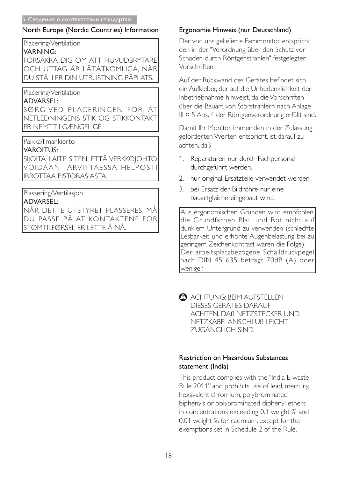# North Europe (Nordic Countries) Information

Placering/Ventilation

## **VARNING:**

FÖRSÄKRA DIG OM ATT HUVUDBRYTARE OCH UTTAG ÄR LÄTÅTKOMLIGA. NÄR DU STÄLLER DIN UTRUSTNING PÅPLATS.

# Placering/Ventilation

# **ADVARSEL:**

SØRG VED PLACERINGEN FOR. AT NETLEDNINGENS STIK OG STIKKONTAKT **ER NEMTTILGÆNGELIGE.** 

Paikka/Ilmankierto

# **VAROITUS:**

SIJOITA LAITE SITEN, ETTÄ VERKKOJOHTO **VOIDAAN TARVITTAESSA HELPOSTI IRROTTAA PISTORASIASTA.** 

# Plassering/Ventilasjon

# **ADVARSEL:**

NÅR DETTE UTSTYRET PLASSERES, MÅ DU PASSE PÅ AT KONTAKTENE FOR |STØMTILFØRSEL ER LETTE Å NÅ.

# Ergonomie Hinweis (nur Deutschland)

Der von uns gelieferte Farbmonitor entspricht den in der "Verordnung über den Schutz vor Schäden durch Röntgenstrahlen" festgelegten Vorschriften

Auf der Rückwand des Gerätes befindet sich ein Aufkleber, der auf die Unbedenklichkeit der Inbetriebnahme hinweist, da die Vorschriften über die Bauart von Störstrahlern nach Anlage III ¤ 5 Abs. 4 der Röntgenverordnung erfüllt sind.

Damit Ihr Monitor immer den in der Zulassung geforderten Werten entspricht, ist darauf zu achten, daß

- 1. Reparaturen nur durch Fachpersonal durchgeführt werden.
- 2. nur original-Ersatzteile verwendet werden.
- 3. bei Ersatz der Bildröhre nur eine bauartgleiche eingebaut wird.

Aus ergonomischen Gründen wird empfohlen, die Grundfarben Blau und Rot nicht auf dunklem Untergrund zu verwenden (schlechte Lesbarkeit und erhöhte Augenbelastung bei zu geringem Zeichenkontrast wären die Folge). Der arbeitsplatzbezogene Schalldruckpegel nach DIN 45 635 beträgt 70dB (A) oder weniger.

ACHTUNG: BEIM AUFSTELLEN DIESES GERÄTES DARAUF ACHTEN. DAB NETZSTECKER UND NETZKABELANSCHLUB LEICHT ZUGÄNGLICH SIND.

# **Restriction on Hazardous Substances** statement (India)

This product complies with the "India E-waste Rule 2011" and prohibits use of lead, mercury, hexavalent chromium, polybrominated biphenyls or polybrominated diphenyl ethers in concentrations exceeding 0.1 weight % and 0.01 weight % for cadmium, except for the exemptions set in Schedule 2 of the Rule.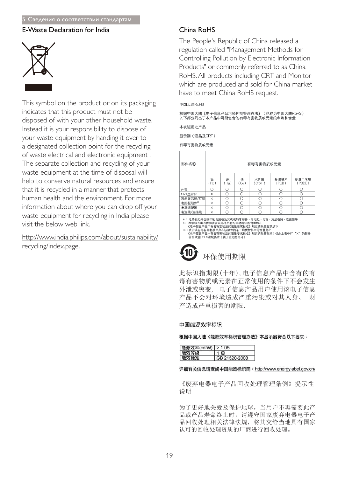#### 5. Сведения о соответствии стандартам

### E-Waste Declaration for India



This symbol on the product or on its packaging indicates that this product must not be disposed of with your other household waste. Instead it is your responsibility to dispose of your waste equipment by handing it over to a designated collection point for the recycling of waste electrical and electronic equipment . The separate collection and recycling of your waste equipment at the time of disposal will help to conserve natural resources and ensure that it is recycled in a manner that protects human health and the environment. For more information about where you can drop off your waste equipment for recycling in India please visit the below web link.

http://www.india.philips.com/about/sustainability/ recycling/index.page.

#### $China$   $Ro$ HS

The People's Republic of China released a regulation called "Management Methods for Controlling Pollution by Electronic Information Products" or commonly referred to as China RoHS. All products including CRT and Monitor which are produced and sold for China market have to meet China RoHS request.

#### 中国大陆RoHS

根据中国大陆《电子信息产品污染控制管理办法》(也称为中国大陆RoHS), 以下部分列出了本产品中可能包含的有毒有害物质或元素的名称和含量

本表适用之产品

显示器(液晶及CRT)

有毒有害物质或元素

| 部件名称                                                                                                                               |           |           |           | 有毒有害物质或元素                       |               |                                             |
|------------------------------------------------------------------------------------------------------------------------------------|-----------|-----------|-----------|---------------------------------|---------------|---------------------------------------------|
|                                                                                                                                    | 铅<br>(Pb) | 汞<br>(Hg) | 镉<br>(Cd) | 六价铬<br>$(Cr6+)$                 | 多溴联苯<br>(PBB) | 多溴二苯醚<br>(PBDE)                             |
| 外壳                                                                                                                                 | Ω         | Ω         | Ω         | Ο                               | Ω             | Ω                                           |
| CRT显示屏                                                                                                                             | ×         | O         | O         | О                               | Ω             | Ο                                           |
| 液晶显示屏/灯管                                                                                                                           | $\times$  | O         | O         | O                               | Ω             | Ο                                           |
| 电路板组件*                                                                                                                             | ×         | Ο         | O         | O                               | ∩             | О                                           |
| 电源适配器                                                                                                                              | ×         | O         | O         | O                               | O             | O                                           |
| 电源线/连接线                                                                                                                            | $\times$  | ∩         | ∩         | ∩                               | ∩             | Ω                                           |
| *: 电路板组件包括印刷电路板及其构成的零部件,如电阻、电容、集成电路、连接器等<br>○:表示该有毒有害物质在该部件所有均质材料中的含量均在<br>X:表示该有毒有害物质至少在该部件的某一均质材料中的含量超出<br>符合欧盟RoHS法规要求(属于豁免的部分) |           |           |           | 《电子信息产品中有毒有害物质的限量要求标准》规定的限量要求以下 |               | 《电子信息产品中有毒有害物质的限量要求标准》规定的限量要求;但是上表中打"×"的部件, |

# 环保伸用期限

此标识指期限(十年), 电子信息产品中含有的有 毒有害物质或元素在正常使用的条件下不会发生 外泄或突变, 电子信息产品用户使用该电子信息 产品不会对环境造成严重污染或对其人身、 财 产造成严重损害的期限.

#### 中国能源效率标识

根据中国大陆《能源效率标识管理办法》本显示器符合以下要求:

| 能源效率(cd/W)   > 1.05 |               |
|---------------------|---------------|
| 能双寺级                |               |
| 能效标准                | GB 21520-2008 |

#### 详细有关信息请查阅中国能效标识网: http://www.energylabel.gov.cn/

《废弃电器电子产品回收处理管理条例》提示性 说明

为了更好地关爱及保护地球, 当用户不再需要此产 品或产品寿命终止时, 请遵守国家废弃电器电子产 品回收处理相关法律法规, 将其交给当地具有国家 认可的回收处理资质的厂商进行回收处理。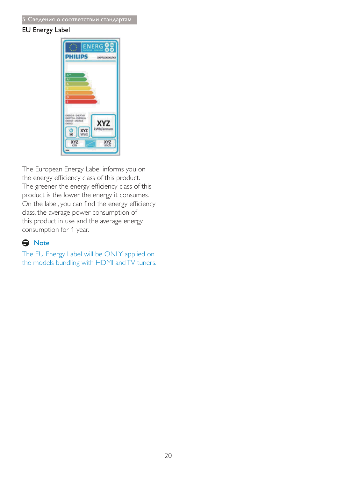### **EU Energy Label**



The European Energy Label informs you on the energy efficiency class of this product. The greener the energy efficiency class of this product is the lower the energy it consumes. On the label, you can find the energy efficiency class, the average power consumption of this product in use and the average energy consumption for 1 year.

# A Note

The EU Energy Label will be ONLY applied on the models bundling with HDMI and TV tuners.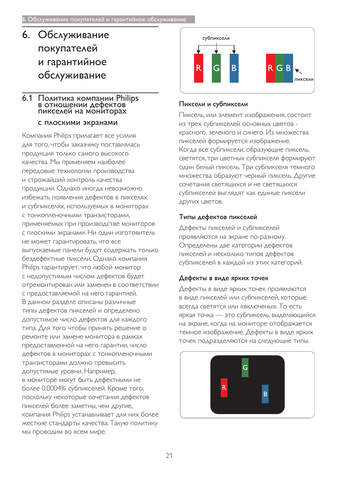# 6. Обслуживание покупателей и гарантийное обслуживание

## 6.1 Политика компании Philips в отношении дефектов пикселей на мониторах

### С ПЛОСКИМИ ЭКРАНАМИ

Компания Philips прилагает все усилия для того, чтобы заказчику поставлялась ПРОДУКЦИЯ ТОЛЬКО САМОГО ВЫСОКОГО качества. Мы применяем наиболее Передовые технологии производства и строжайший контроль качества продукции. Однако иногда невозможно избежать появления дефектов в пикселях и субпикселях, используемых в мониторах С ТОНКОПЛЕНОЧНЫМИ ТРАНЗИСТОРАМИ, Применяемых при производстве мониторов с плоскими экранами. Ни один изготовитель не может гарантировать, что все выпускаемые панели будут содержать только бездефектные пиксели. Однако компания Philips гарантирует, что любой монитор с недопустимым числом дефектов будет ОТРЕМОНТИРОВАН ИЛИ ЗАМЕНЕН В СООТВЕТСТВИИ с предоставляемой на него гарантией. В данном разделе описаны различные типы дефектов пикселей и определено допустимое число дефектов для каждого типа. Для того чтобы принять решение о ремонте или замене монитора в рамках предоставленной на него гарантии, число дефектов в мониторах с тонкопленочными транзисторами должно превысить допустимые уровни. Например, в мониторе могут быть дефектными не более 0,0004% субпикселей. Кроме того, поскольку некоторые сочетания дефектов пикселей более заметны, чем другие, компания Philips устанавливает для них более жесткие стандарты качества. Такую политику мы проводим во всем мире.



## Пиксели и субпиксели

Пиксель, или элемент изображения, состоит из трех субпикселей основных цветов красного, зеленого и синего. Из множества пикселей формируется изображение. Когда все субпиксели, образующие пиксель, светятся, три цветных субпикселя формируют ОДИН белый пиксель. Три субпикселя темного множества образуют черный пиксель. Другие СОЧЕТАНИЯ СВЕТЯЩИХСЯ И НЕ СВЕТЯЩИХСЯ субпикселей выглядят как единые пиксели ДРУГИХ ЦВЕТОВ.

## Типы дефектов пикселей

Дефекты пикселей и субпикселей проявляются на экране по-разному. Определены две категории дефектов пикселей и несколько типов дефектов субпикселей в каждой из этих категорий.

# Дефекты в виде ярких точек

Дефекты в виде ярких точек проявляются в виде пикселей или субпикселей, которые всегда светятся или «включены». То есть яркая точка — это субпиксель, выделяющийся на экране, когда на мониторе отображается темное изображение. Дефекты в виде ярких ТОЧЕК ПОДРАЗДЕЛЯЮТСЯ НА СЛЕДУЮЩИЕ ТИПЫ.

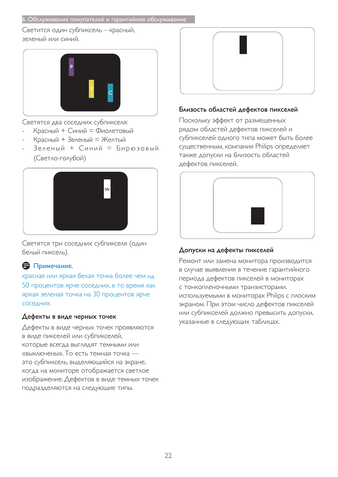Светится один субпиксель - красный, зеленый или синий.



Светятся два соседних субпикселя:

- Красный + Синий = Фиолетовый
- Красный + Зеленый = Желтый
- Зеленый + Синий = Бирюзовый (Светло-голубой)



Светятся три соседних субпикселя (один белый пиксель).

# $\ominus$  Примечание.

красная или яркая белая точка более чем на 50 процентов ярче соседних, в то время как яркая зеленая точка на 30 процентов ярче СОС<sub>едних</sub>

#### Дефекты в виде черных точек

Дефекты в виде черных точек проявляются в виде пикселей или субпикселей, КОТОРЫЕ ВСЕГДА ВЫГЛЯДЯТ ТЕМНЫМИ ИЛИ «выключены». То есть темная точка это субпиксель, выделяющийся на экране, когда на мониторе отображается светлое изображение. Дефектов в виде темных точек подразделяются на следующие типы.



### Близость областей дефектов пикселей

Поскольку эффект от размещенных рядом областей дефектов пикселей и субпикселей одного типа может быть более существенным, компания Philips определяет также допуски на близость областей дефектов пикселей.



## Допуски на дефекты пикселей

Ремонт или замена монитора производится в случае выявления в течение гарантийного периода дефектов пикселей в мониторах С ТОНКОПЛЕНОЧНЫМИ ТРАНЗИСТОРАМИ, используемыми в мониторах Philips с плоским экраном. При этом число дефектов пикселей или субпикселей должно превысить допуски, указанные в следующих таблицах.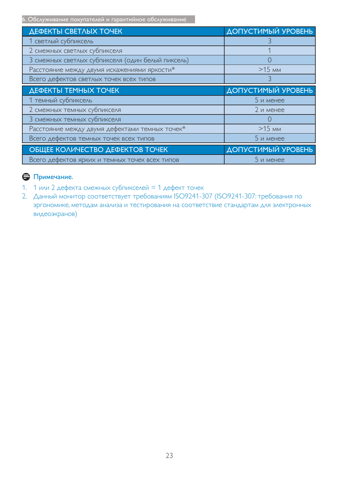6. Обслуживание покупателей и гарантийное обслуживание

| <b>ДЕФЕКТЫ СВЕТЛЫХ ТОЧЕК</b>                      | <b>ДОПУСТИМЫЙ УРОВЕНЬ</b> |
|---------------------------------------------------|---------------------------|
| 1 светлый субпиксель                              |                           |
| 2 смежных светлых субпикселя                      |                           |
| 3 смежных светлых субпикселя (один белый пиксель) |                           |
| Расстояние между двумя искажениями яркости*       | $>15$ MM                  |
| Всего дефектов светлых точек всех типов           |                           |
| ДЕФЕКТЫ ТЕМНЫХ ТОЧЕК                              | ДОПУСТИМЫЙ УРОВЕНЬ        |
|                                                   |                           |
| 1 темный субпиксель                               | 5 и менее                 |
| 2 смежных темных субпикселя                       | 2 и менее                 |
| 3 смежных темных субпикселя                       |                           |
| Расстояние между двумя дефектами темных точек*    | $>15$ MM                  |
| Всего дефектов темных точек всех типов            | 5 и менее                 |
| ОБЩЕЕ КОЛИЧЕСТВО ДЕФЕКТОВ ТОЧЕК                   | ДОПУСТИМЫЙ УРОВЕНЬ        |

# $\bigoplus$  Примечание.

- 1. 1 или 2 дефекта смежных субпикселей = 1 дефект точек
- 2. Данный монитор соответствует требованиям ISO9241-307 (ISO9241-307: требования по эргономике, методам анализа и тестирования на соответствие стандартам для электронных видеоэкранов)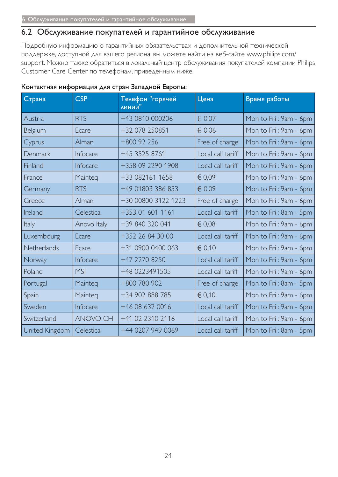# 6.2 Обслуживание покупателей и гарантийное обслуживание

Подробную информацию о гарантийных обязательствах и дополнительной технической поддержке, доступной для вашего региона, вы можете найти на веб-сайте www.philips.com/ support. Можно также обратиться в локальный центр обслуживания покупателей компании Philips Customer Care Center по телефонам, приведенным ниже.

| Страна         | <b>CSP</b>      | Телефон "горячей<br>линии" | Цена              | Время работы          |
|----------------|-----------------|----------------------------|-------------------|-----------------------|
| Austria        | <b>RTS</b>      | +43 0810 000206            | € 0,07            | Mon to Fri: 9am - 6pm |
| Belgium        | Ecare           | +32 078 250851             | $\in 0.06$        | Mon to Fri: 9am - 6pm |
| Cyprus         | Alman           | +800 92 256                | Free of charge    | Mon to Fri: 9am - 6pm |
| Denmark        | Infocare        | +45 3525 8761              | Local call tariff | Mon to Fri: 9am - 6pm |
| Finland        | Infocare        | +358 09 2290 1908          | Local call tariff | Mon to Fri: 9am - 6pm |
| France         | Mainteg         | +33 082161 1658            | € 0,09            | Mon to Fri: 9am - 6pm |
| Germany        | <b>RTS</b>      | +49 01803 386 853          | € 0,09            | Mon to Fri: 9am - 6pm |
| Greece         | Alman           | +30 00800 3122 1223        | Free of charge    | Mon to Fri: 9am - 6pm |
| Ireland        | Celestica       | +353 01 601 1161           | Local call tariff | Mon to Fri: 8am - 5pm |
| <b>Italy</b>   | Anovo Italy     | +39 840 320 041            | $\in 0.08$        | Mon to Fri: 9am - 6pm |
| Luxembourg     | Ecare           | +352 26 84 30 00           | Local call tariff | Mon to Fri: 9am - 6pm |
| Netherlands    | Ecare           | +31 0900 0400 063          | € 0.10            | Mon to Fri: 9am - 6pm |
| Norway         | Infocare        | +47 2270 8250              | Local call tariff | Mon to Fri: 9am - 6pm |
| Poland         | <b>MSI</b>      | +48 0223491505             | Local call tariff | Mon to Fri: 9am - 6pm |
| Portugal       | Mainteq         | +800 780 902               | Free of charge    | Mon to Fri: 8am - 5pm |
| Spain          | Mainteg         | +34 902 888 785            | € 0,10            | Mon to Fri: 9am - 6pm |
| Sweden         | Infocare        | +46 08 632 0016            | Local call tariff | Mon to Fri: 9am - 6pm |
| Switzerland    | <b>ANOVO CH</b> | +41 02 2310 2116           | Local call tariff | Mon to Fri: 9am - 6pm |
| United Kingdom | Celestica       | +44 0207 949 0069          | Local call tariff | Mon to Fri: 8am - 5pm |

#### Контактная информация для стран Западной Европы: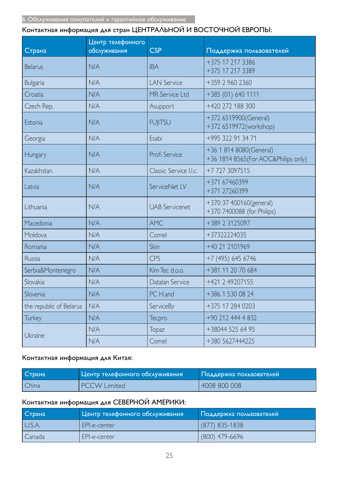# Контактная информация для стран ЦЕНТРАЛЬНОЙ И ВОСТОЧНОЙ ЕВРОПЫ:

| Страна                  | Центр телефонного<br>обслуживания | <b>CSP</b>             | Поддержка пользователей                                         |
|-------------------------|-----------------------------------|------------------------|-----------------------------------------------------------------|
| <b>Belarus</b>          | N/A                               | <b>IBA</b>             | +375 17 217 3386<br>+375 17 217 3389                            |
| <b>Bulgaria</b>         | N/A                               | <b>LAN Service</b>     | +359 2 960 2360                                                 |
| Croatia                 | N/A                               | <b>MR Service Ltd</b>  | +385 (01) 640 1111                                              |
| Czech Rep.              | N/A                               | Asupport               | +420 272 188 300                                                |
| Estonia                 | N/A                               | <b>FUJITSU</b>         | +372 6519900(General)<br>+372 6519972(workshop)                 |
| Georgia                 | N/A                               | Esabi                  | +995 322 91 34 71                                               |
| Hungary                 | N/A                               | Profi Service          | +36 1 814 8080(General)<br>+36 1814 8565 (For AOC&Philips only) |
| Kazakhstan              | N/A                               | Classic Service I.I.c. | +7 727 3097515                                                  |
| Latvia                  | N/A                               | ServiceNet LV          | +371 67460399<br>+371 27260399                                  |
| Lithuania               | N/A                               | <b>UAB Servicenet</b>  | +370 37 400160(general)<br>+370 7400088 (for Philips)           |
| Macedonia               | N/A                               | <b>AMC</b>             | +389 2 3125097                                                  |
| Moldova                 | N/A                               | Comel                  | +37322224035                                                    |
| Romania                 | N/A                               | Skin                   | +40 21 2101969                                                  |
| Russia                  | N/A                               | CPS                    | +7 (495) 645 6746                                               |
| Serbia&Montenegro       | N/A                               | Kim Tec d.o.o.         | +381 11 20 70 684                                               |
| Slovakia                | N/A                               | Datalan Service        | +421 2 49207155                                                 |
| Slovenia                | N/A                               | PC H.and               | +386 1 530 08 24                                                |
| the republic of Belarus | N/A                               | ServiceBy              | +375 17 284 0203                                                |
| <b>Turkey</b>           | N/A                               | Tecpro                 | +90 212 444 4 832                                               |
|                         | N/A                               | <b>Topaz</b>           | +38044 525 64 95                                                |
| Ukraine                 | N/A                               | Comel                  | +380 5627444225                                                 |

## Контактная информация для Китая:

| Страна | Центр телефонного обслуживания | Поддержка пользователей |
|--------|--------------------------------|-------------------------|
| China  | <b>PCCW Limited</b>            | 4008 800 008            |

# Контактная информация для СЕВЕРНОЙ АМЕРИКИ:

| Страна | Центр телефонного обслуживания | Поддержка пользователей |
|--------|--------------------------------|-------------------------|
| U.S.A. | EPI-e-center                   | (877) 835-1838          |
| Canada | EPI-e-center                   | $(800)$ 479-6696        |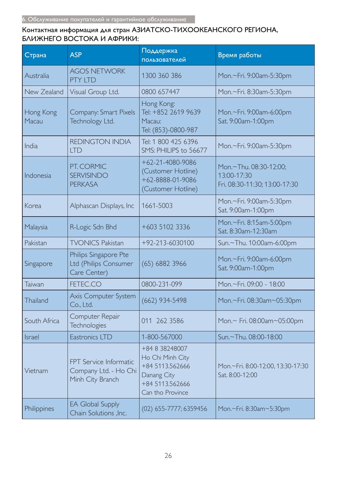## Контактная информация для стран АЗИАТСКО-ТИХООКЕАНСКОГО РЕГИОНА, БЛИЖНЕГО ВОСТОКА И АФРИКИ:

| Страна             | <b>ASP</b>                                                          | Поддержка<br>пользователей                                                                                  | Время работы                                                           |
|--------------------|---------------------------------------------------------------------|-------------------------------------------------------------------------------------------------------------|------------------------------------------------------------------------|
| Australia          | <b>AGOS NETWORK</b><br><b>PTY LTD</b>                               | 1300 360 386                                                                                                | Mon.~Fri. 9:00am-5:30pm                                                |
| New Zealand        | Visual Group Ltd.                                                   | 0800 657447                                                                                                 | Mon.~Fri. 8:30am-5:30pm                                                |
| Hong Kong<br>Macau | Company: Smart Pixels<br>Technology Ltd.                            | Hong Kong:<br>Tel: +852 2619 9639<br>Macau:<br>Tel: (853)-0800-987                                          | Mon.~Fri. 9:00am-6:00pm<br>Sat. 9:00am-1:00pm                          |
| India              | <b>REDINGTON INDIA</b><br><b>LTD</b>                                | Tel: 1 800 425 6396<br>SMS: PHILIPS to 56677                                                                | Mon.~Fri. 9:00am-5:30pm                                                |
| Indonesia          | PT. CORMIC<br><b>SERVISINDO</b><br><b>PERKASA</b>                   | $+62 - 21 - 4080 - 9086$<br>(Customer Hotline)<br>+62-8888-01-9086<br>(Customer Hotline)                    | Mon.~Thu. 08:30-12:00;<br>13:00-17:30<br>Fri. 08:30-11:30; 13:00-17:30 |
| Korea              | Alphascan Displays, Inc                                             | 1661-5003                                                                                                   | Mon.~Fri. 9:00am-5:30pm<br>Sat. 9:00am-1:00pm                          |
| Malaysia           | R-Logic Sdn Bhd                                                     | +603 5102 3336                                                                                              | Mon.~Fri. 8:15am-5:00pm<br>Sat. 8:30am-12:30am                         |
| Pakistan           | <b>TVONICS Pakistan</b>                                             | +92-213-6030100                                                                                             | Sun.~Thu. 10:00am-6:00pm                                               |
| Singapore          | Philips Singapore Pte<br>Ltd (Philips Consumer<br>Care Center)      | $(65)$ 6882 3966                                                                                            | Mon.~Fri. 9:00am-6:00pm<br>Sat. 9:00am-1:00pm                          |
| Taiwan             | FETEC.CO                                                            | 0800-231-099                                                                                                | Mon.~Fri. 09:00 - 18:00                                                |
| Thailand           | Axis Computer System<br>Co., Ltd.                                   | $(662)$ 934-5498                                                                                            | Mon.~Fri. 08:30am~05:30pm                                              |
| South Africa       | Computer Repair<br><b>Technologies</b>                              | 011 262 3586                                                                                                | Mon.~ Fri. 08:00am~05:00pm                                             |
| Israel             | Eastronics LTD                                                      | 1-800-567000                                                                                                | Sun.~Thu. 08:00-18:00                                                  |
| Vietnam            | FPT Service Informatic<br>Company Ltd. - Ho Chi<br>Minh City Branch | +84 8 38248007<br>Ho Chi Minh City<br>+84 5113.562666<br>Danang City<br>+84 5113.562666<br>Can tho Province | Mon.~Fri. 8:00-12:00, 13:30-17:30<br>Sat. 8:00-12:00                   |
| Philippines        | <b>EA Global Supply</b><br>Chain Solutions , Inc.                   | (02) 655-7777; 6359456                                                                                      | Mon.~Fri. 8:30am~5:30pm                                                |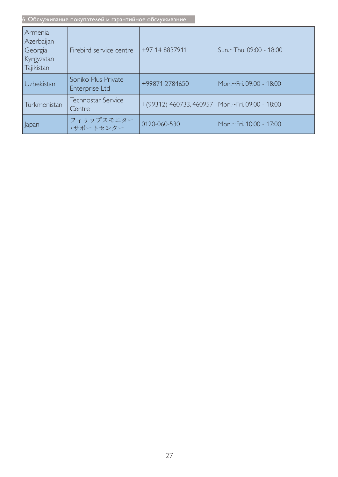| Armenia<br>Azerbaijan<br>Georgia<br>Kyrgyzstan<br>Tajikistan | Firebird service centre               | +97 14 8837911                                      | Sun.~Thu. 09:00 - 18:00 |
|--------------------------------------------------------------|---------------------------------------|-----------------------------------------------------|-------------------------|
| Uzbekistan                                                   | Soniko Plus Private<br>Enterprise Ltd | +99871 2784650                                      | Mon.~Fri. 09:00 - 18:00 |
| Turkmenistan                                                 | <b>Technostar Service</b><br>Centre   | $+(99312)$ 460733, 460957   Mon.~Fri. 09:00 - 18:00 |                         |
| Japan                                                        | フィリップスモニター<br>・サポートセンター               | 0120-060-530                                        | Mon.~Fri. 10:00 - 17:00 |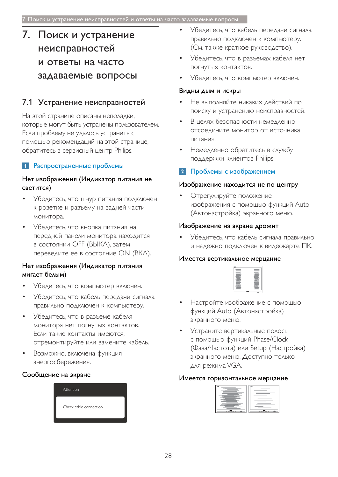# 7. Поиск и устранение неисправностей и ответы на часто задаваемые вопросы

# 7.1 Устранение неисправностей

На этой странице описаны неполадки, которые могут быть устранены пользователем. Если проблему не удалось устранить с помощью рекомендаций на этой странице, обратитесь в сервисный центр Philips.

# **1** Распространенные проблемы

#### Нет изображения (Индикатор питания не светится)

- Убедитесь, что шнур питания подключен К розетке и разъему на задней части монитора.
- Убедитесь, что кнопка питания на передней панели монитора находится в состоянии ОFF (BЫКЛ), затем переведите ее в состояние ON (ВКЛ).

### Нет изображения (Индикатор питания мигает белым)

- Убедитесь, что компьютер включен.
- Убедитесь, что кабель передачи сигнала правильно подключен к компьютеру.
- Убедитесь, что в разъеме кабеля монитора нет погнутых контактов. Если такие контакты имеются, отремонтируйте или замените кабель.
- Возможно, включена функция энергосбережения.

#### Сообщение на экране



- Убедитесь, что кабель передачи сигнала правильно подключен к компьютеру. (См. также краткое руководство).
- Убедитесь, что в разъемах кабеля нет погнутых контактов.
- Убедитесь, что компьютер включен.

#### Видны дым и искры

- Не выполняйте никаких действий по поиску и устранению неисправностей.
- В целях безопасности немедленно отсоедините монитор от источника питания.
- Немедленно обратитесь в службу поддержки клиентов Philips.

## 2 Проблемы с изображением

#### Изображение находится не по центру

Отрегулируйте положение изображения с помощью функций Auto (Автонастройка) экранного меню.

#### Изображение на экране дрожит

Убедитесь, что кабель сигнала правильно и надежно подключен к видеокарте ПК.

#### Имеется вертикальное мерцание

- Настройте изображение с помощью функций Auto (Автонастройка) экранного меню.
- Устраните вертикальные полосы с помощью функций Phase/Clock (Фаза/Частота) или Setup (Настройка) экранного меню. Доступно только для режима VGA.

#### Имеется горизонтальное мерцание

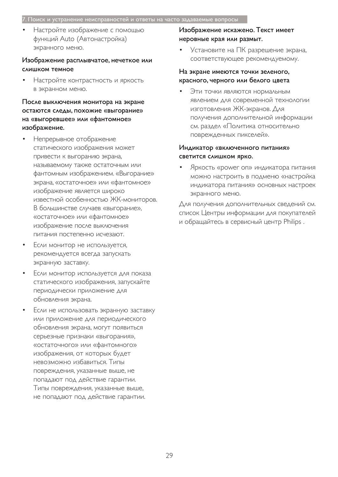#### 7. Поиск и устранение неисправностей и ответы на часто задаваемые вопросы

Настройте изображение с помощью функций Auto (Автонастройка) экранного меню.

#### Изображение расплывчатое, нечеткое или СЛИШКОМ ТЕМНОЕ

Настройте контрастность и яркость в экранном меню.

После выключения монитора на экране остаются следы, похожие «выгорание» на «выгоревшее» или «фантомное» изображение.

- Непрерывное отображение статического изображения может привести к выгоранию экрана, Называемому также остаточным или фантомным изображением. «Выгорание» экрана, «остаточное» или «фантомное» изображение является широко известной особенностью ЖК-мониторов. В большинстве случаев «выгорание», «остаточное» или «фантомное» изображение после выключения питания постепенно исчезают.
- Если монитор не используется, рекомендуется всегда запускать экранную заставку.
- Если монитор используется для показа статического изображения, запускайте периодически приложение для обновления экрана.
- Если не использовать экранную заставку или приложение для периодического обновления экрана, могут появиться серьезные признаки «выгорания», «остаточного» или «фантомного» изображения, от которых будет невозможно избавиться. Типы повреждения, указанные выше, не попадают под действие гарантии. Типы повреждения, указанные выше, не попадают под действие гарантии.

#### Изображение искажено. Текст имеет неровные края или размыт.

Установите на ПК разрешение экрана, соответствующее рекомендуемому.

#### На экране имеются точки зеленого, красного, черного или белого цвета

Эти точки являются нормальным явлением для современной технологии изготовления ЖК-экранов. Для получения дополнительной информации см. раздел «Политика относительно поврежденных пикселей».

#### Индикатор «включенного питания» светится слишком ярко.

Яркость «power on» индикатора питания можно настроить в подменю «настройка индикатора питания» основных настроек экранного меню.

Для получения дополнительных сведений см. список Центры информации для покупателей и обращайтесь в сервисный центр Philips.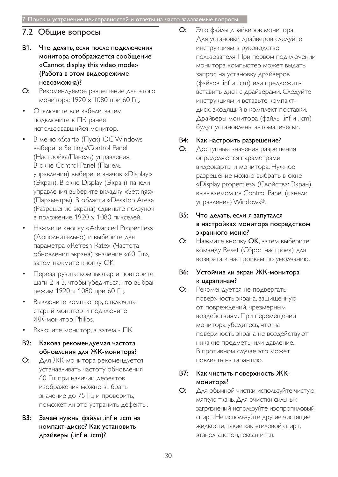# 7.2 Общие вопросы

- В1. Что делать, если после подключения монитора отображается сообщение «Cannot display this video mode» (Работа в этом видеорежиме невозможна)?
- О: Рекомендуемое разрешение для этого монитора: 1920  $\times$  1080 при 60 Гц.
- Отключите все кабели, затем подключите к ПК ранее использовавшийся монитор.
- В меню «Start» (Пуск) ОС Windows выберите Settings/Control Panel (Настройка/Панель) управления. В окне Control Panel (Панель управления) выберите значок «Display» (Экран). В окне Display (Экран) панели управления выберите вкладку «Settings» (Параметры). В области «Desktop Area» (Разрешение экрана) сдвиньте ползунок в положение 1920 х 1080 пикселей.
- Нажмите кнопку «Advanced Properties» (Дополнительно) и выберите для параметра «Refresh Rate» (Частота обновления экрана) значение «60 Гц», затем нажмите кнопку ОК.
- Перезагрузите компьютер и повторите шаги 2 и 3, чтобы убедиться, что выбран режим 1920 х 1080 при 60 Гц.
- Выключите компьютер, отключите старый монитор и подключите ЖК-монитор Philips.
- Включите монитор, а затем ПК.
- В2: Какова рекомендуемая частота обновления для ЖК-монитора?
- О: Для ЖК-монитора рекомендуется устанавливать частоту обновления 60 Гц; при наличии дефектов изображения можно выбрать значение до 75 Гц и проверить, поможет ли это устранить дефекты.
- ВЗ: Зачем нужны файлы .inf и .icm на компакт-диске? Как установить драйверы (.inf и .icm)?

О: Это файлы драйверов монитора. Для установки драйверов следуйте ИНСТРУКЦИЯМ В РУКОВОДСТВЕ пользователя. При первом подключении монитора компьютер может выдать запрос на установку драйверов (файлов .inf и .icm) или предложить вставить диск с драйверами. Следуйте инструкциям и вставьте компакт-ДИСК, ВХОДЯЩИЙ В КОМПЛЕКТ ПОСТАВКИ. Драйверы монитора (файлы .inf и .icm) будут установлены автоматически.

### В4: Как настроить разрешение?

О: Доступные значения разрешения определяются параметрами видеокарты и монитора. Нужное разрешение можно выбрать в окне «Display properties» (Свойства: Экран), вызываемом из Control Panel (панели управления) Windows®.

### В5: Что делать, если я запутался в настройках монитора посредством экранного меню?

О: Нажмите кнопку ОК, затем выберите команду Reset (Сброс настроек) для возврата к настройкам по умолчанию.

## В6: Устойчив ли экран ЖК-монитора к царапинам?

О: Рекомендуется не подвергать поверхность экрана, защищенную от повреждений, чрезмерным воздействиям. При перемещении монитора убедитесь, что на поверхность экрана не воздействуют никакие предметы или давление. В противном случае это может повлиять на гарантию.

## В7: Как чистить поверхность ЖКмонитора?

О: Для обычной чистки используйте чистую мягкую ткань. Для очистки сильных загрязнений используйте изопропиловый спирт. Не используйте другие чистящие жидкости, такие как этиловой спирт, ЭТАНОЛ, АЦЕТОН, ГЕКСАН И Т.П.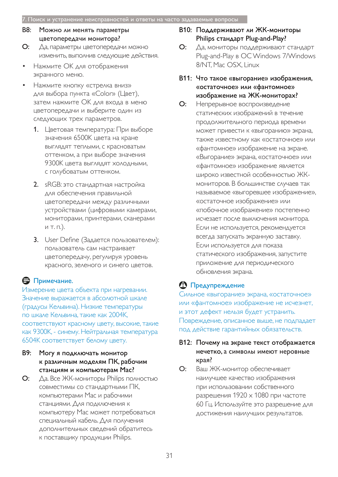- В8: Можно ли менять параметры цветопередачи монитора?
- О: Да, параметры цветопередачи можно ИЗМЕНИТЬ, ВЫПОЛНИВ СЛЕДУЮЩИЕ ДЕЙСТВИЯ.
- Нажмите ОК для отображения экранного меню.
- Нажмите кнопку «стрелка вниз» для выбора пункта «Color» (Цвет), затем нажмите ОК для входа в меню цветопередачи и выберите один из следующих трех параметров.
	- 1. Цветовая температура: При выборе значения 6500К цвета на кране ВЫГЛЯДЯТ ТЕПЛЫМИ, С КРАСНОВАТЫМ оттенком, а при выборе значения 9300К цвета выглядят холодными, с голубоватым оттенком.
	- 2. sRGB: это стандартная настройка для обеспечения правильной цветопередачи между различными устройствами (цифровыми камерами, мониторами, принтерами, сканерами  $M$  Т. П.).
	- 3. User Define (Задается пользователем): пользователь сам настраивает цветопередачу, регулируя уровень Красного, зеленого и синего цветов.

# В Примечание.

Измерение цвета объекта при нагревании. Значение выражается в абсолютной шкале (градусы Кельвина). Низкие температуры по шкале Кельвина, такие как 2004К, СООТВЕТСТВУЮТ КРАСНОМУ ЦВЕТУ, ВЫСОКИЕ, ТАКИЕ как 9300К, - синему. Нейтральная температура 6504К соответствует белому цвету.

- В9: Могу я подключать монитор к различным моделям ПК, рабочим станциям и компьютерам Мас?
- **О:** Да, Все ЖК-мониторы Philips полностью совместимы со стандартными ПК, компьютерами Мас и рабочими станциями. Для подключения к компьютеру Мас может потребоваться специальный кабель. Для получения дополнительных сведений обратитесь к поставщику продукции Philips.

## В10: Поддерживают ли ЖК-мониторы Philips стандарт Plug-and-Play?

- О: Да, мониторы поддерживают стандарт Plug-and-Play B OC Windows 7/Windows 8/NT, Mac OSX, Linux
- В11: Что такое «выгорание» изображения, «остаточное» или «фантомное» изображение на ЖК-мониторах?
- О: Непрерывное воспроизведение статических изображений в течение ПРОДОЛЖИТЕЛЬНОГО ПЕРИОДА ВРЕМЕНИ может привести к «выгоранию» экрана, также известному как «остаточное» или «Фантомное» изображение на экране. «Выгорание» экрана, «остаточное» или «Фантомное» изображение является широко известной особенностью ЖКмониторов. В большинстве случаев так называемое «выгоревшее изображение», «остаточное изображение» или «побочное изображение» постепенно ИСЧЕЗАЕТ ПОСЛЕ ВЫКЛЮЧЕНИЯ МОНИТОРА. Если не используется, рекомендуется всегда запускать экранную заставку. Если используется для показа статического изображения, запустите приложение для периодического обновления экрана.

# **<sup>1</sup>** Предупреждение

Сильное «выгорание» экрана, «остаточное» или «фантомное» изображение не исчезнет, и этот дефект нельзя будет устранить. Повреждение, описанное выше, не подпадает под действие гарантийных обязательств.

- В12: Почему на экране текст отображается нечетко, а символы имеют неровные края?
- О: Ваш ЖК-монитор обеспечивает наилучшее качество изображения при использовании собственного разрешения  $1920 \times 1080$  при частоте 60 Гц. Используйте это разрешение для достижения наилучших результатов.